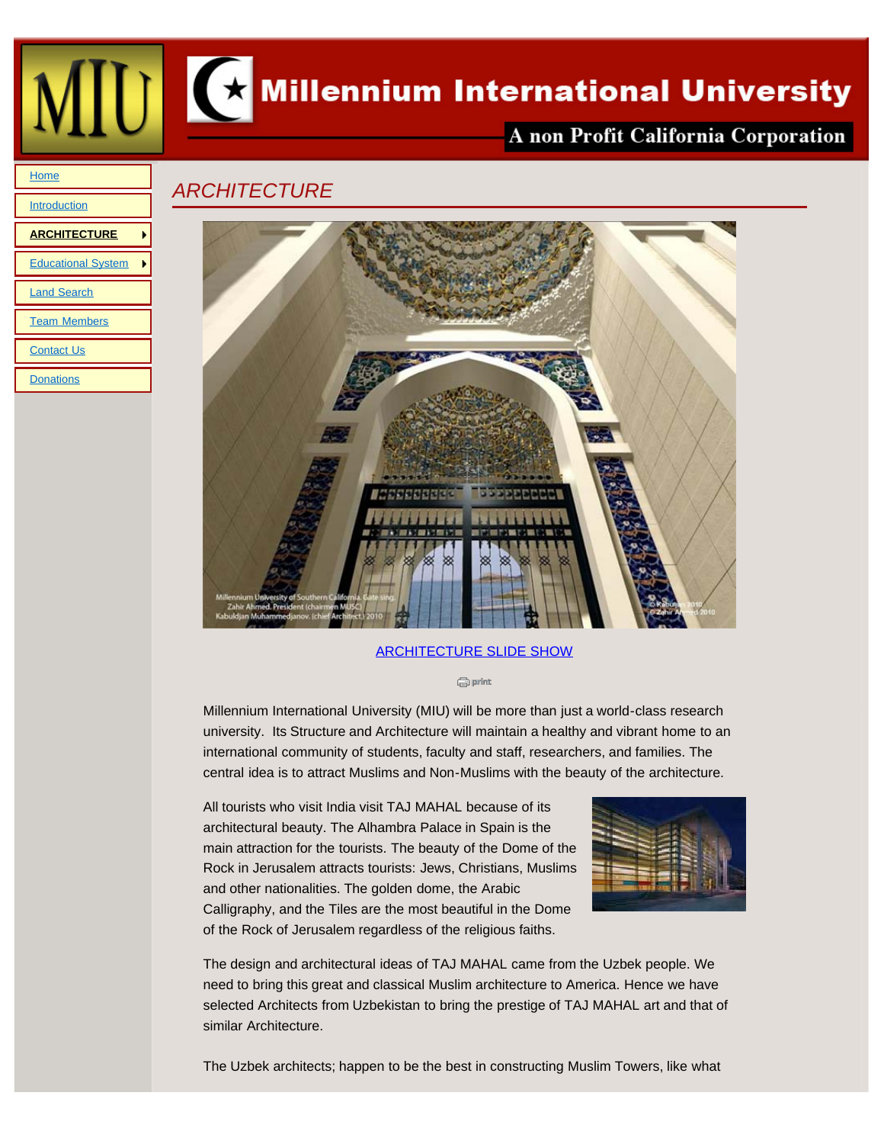

A non Profit California Corporation

## *ARCHITECTURE*



## [ARCHITECTURE SLIDE SHOW](file:///Users/charlesfeldman/Documents/local_sites/MillenniumUniv/images/Architecture Gallery 25/index.html)

**G** print

Millennium International University (MIU) will be more than just a world-class research university. Its Structure and Architecture will maintain a healthy and vibrant home to an international community of students, faculty and staff, researchers, and families. The central idea is to attract Muslims and Non-Muslims with the beauty of the architecture.

All tourists who visit India visit TAJ MAHAL because of its architectural beauty. The Alhambra Palace in Spain is the main attraction for the tourists. The beauty of the Dome of the Rock in Jerusalem attracts tourists: Jews, Christians, Muslims and other nationalities. The golden dome, the Arabic Calligraphy, and the Tiles are the most beautiful in the Dome of the Rock of Jerusalem regardless of the religious faiths.



The design and architectural ideas of TAJ MAHAL came from the Uzbek people. We need to bring this great and classical Muslim architecture to America. Hence we have selected Architects from Uzbekistan to bring the prestige of TAJ MAHAL art and that of similar Architecture.

The Uzbek architects; happen to be the best in constructing Muslim Towers, like what

<span id="page-0-0"></span>**[Home](file:///Users/charlesfeldman/Documents/local_sites/MillenniumUniv/index.html)** 

**[Introduction](file:///Users/charlesfeldman/Documents/local_sites/MillenniumUniv/introduction.html)** 

[Land Search](file:///Users/charlesfeldman/Documents/local_sites/MillenniumUniv/land.html)

**[Contact Us](file:///Users/charlesfeldman/Documents/local_sites/MillenniumUniv/contact_us.html) [Donations](file:///Users/charlesfeldman/Documents/local_sites/MillenniumUniv/donations.html)** 

[Team Members](file:///Users/charlesfeldman/Documents/local_sites/MillenniumUniv/teams.html)

**[ARCHITECTURE](#page-0-0)**

[Educational System](file:///Users/charlesfeldman/Documents/local_sites/MillenniumUniv/educational_system.html)